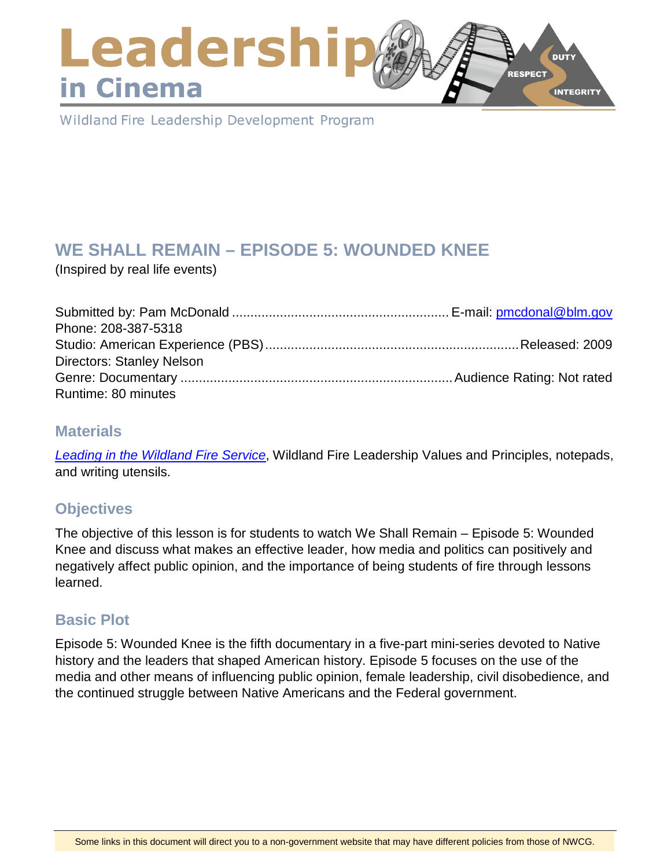## Leadershi **DUTY RESPECT** in Cinema **INTEGRITY**

Wildland Fire Leadership Development Program

# **WE SHALL REMAIN – EPISODE 5: WOUNDED KNEE**

(Inspired by real life events)

| Phone: 208-387-5318              |  |
|----------------------------------|--|
|                                  |  |
| <b>Directors: Stanley Nelson</b> |  |
|                                  |  |
| Runtime: 80 minutes              |  |

### **Materials**

*[Leading in the Wildland Fire Service](https://www.nwcg.gov/publications/494-2)*, Wildland Fire Leadership Values and Principles, notepads, and writing utensils.

## **Objectives**

The objective of this lesson is for students to watch We Shall Remain – Episode 5: Wounded Knee and discuss what makes an effective leader, how media and politics can positively and negatively affect public opinion, and the importance of being students of fire through lessons learned.

## **Basic Plot**

Episode 5: Wounded Knee is the fifth documentary in a five-part mini-series devoted to Native history and the leaders that shaped American history. Episode 5 focuses on the use of the media and other means of influencing public opinion, female leadership, civil disobedience, and the continued struggle between Native Americans and the Federal government.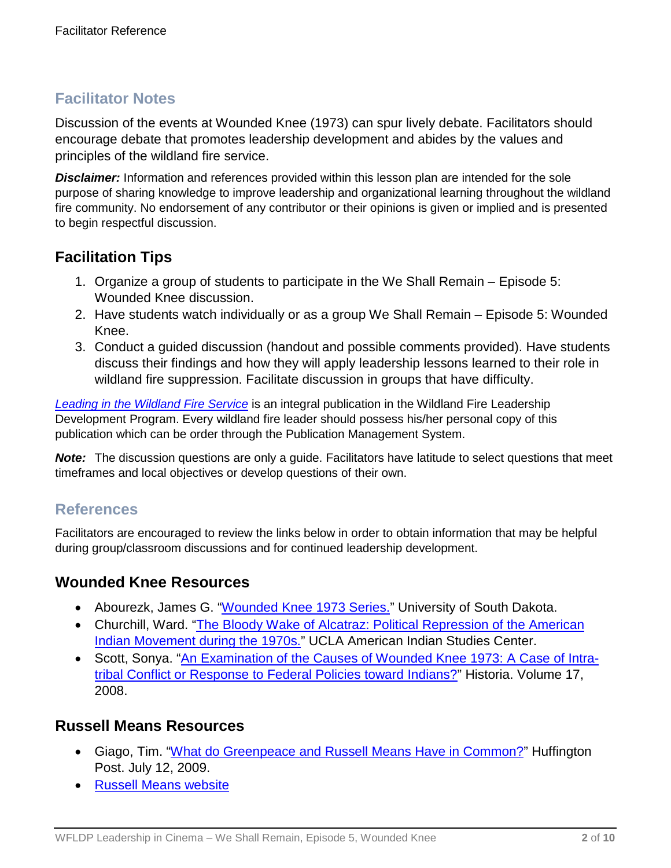## **Facilitator Notes**

Discussion of the events at Wounded Knee (1973) can spur lively debate. Facilitators should encourage debate that promotes leadership development and abides by the values and principles of the wildland fire service.

*Disclaimer:* Information and references provided within this lesson plan are intended for the sole purpose of sharing knowledge to improve leadership and organizational learning throughout the wildland fire community. No endorsement of any contributor or their opinions is given or implied and is presented to begin respectful discussion.

## **Facilitation Tips**

- 1. Organize a group of students to participate in the We Shall Remain Episode 5: Wounded Knee discussion.
- 2. Have students watch individually or as a group We Shall Remain Episode 5: Wounded Knee.
- 3. Conduct a guided discussion (handout and possible comments provided). Have students discuss their findings and how they will apply leadership lessons learned to their role in wildland fire suppression. Facilitate discussion in groups that have difficulty.

*[Leading in the Wildland Fire Service](https://www.nwcg.gov/publications/494-2)* is an integral publication in the Wildland Fire Leadership Development Program. Every wildland fire leader should possess his/her personal copy of this publication which can be order through the Publication Management System.

*Note:* The discussion questions are only a guide. Facilitators have latitude to select questions that meet timeframes and local objectives or develop questions of their own.

### **References**

Facilitators are encouraged to review the links below in order to obtain information that may be helpful during group/classroom discussions and for continued leadership development.

### **Wounded Knee Resources**

- Abourezk, James G. ["Wounded Knee 1973 Series."](http://libguides.usd.edu/abourezk-woundedknee) University of South Dakota.
- Churchill, Ward. ["The Bloody Wake of Alcatraz: Political Repression of the American](http://uclajournals.org/doi/abs/10.17953/aicr.18.4.r68506339r883415?code=ucla-site)  [Indian Movement during the 1970s."](http://uclajournals.org/doi/abs/10.17953/aicr.18.4.r68506339r883415?code=ucla-site) UCLA American Indian Studies Center.
- Scott, Sonya. ["An Examination of the Causes of Wounded Knee 1973: A Case of Intra](http://www.eiu.edu/historia/Historia2008Scott.pdf)[tribal Conflict or Response to Federal Policies toward Indians?"](http://www.eiu.edu/historia/Historia2008Scott.pdf) Historia. Volume 17, 2008.

### **Russell Means Resources**

- Giago, Tim. ["What do Greenpeace and Russell Means Have in Common?"](https://www.huffingtonpost.com/tim-giago/what-do-greenpeace-and-ru_b_230174.html) Huffington Post. July 12, 2009.
- [Russell Means website](http://www.russellmeansfreedom.com/)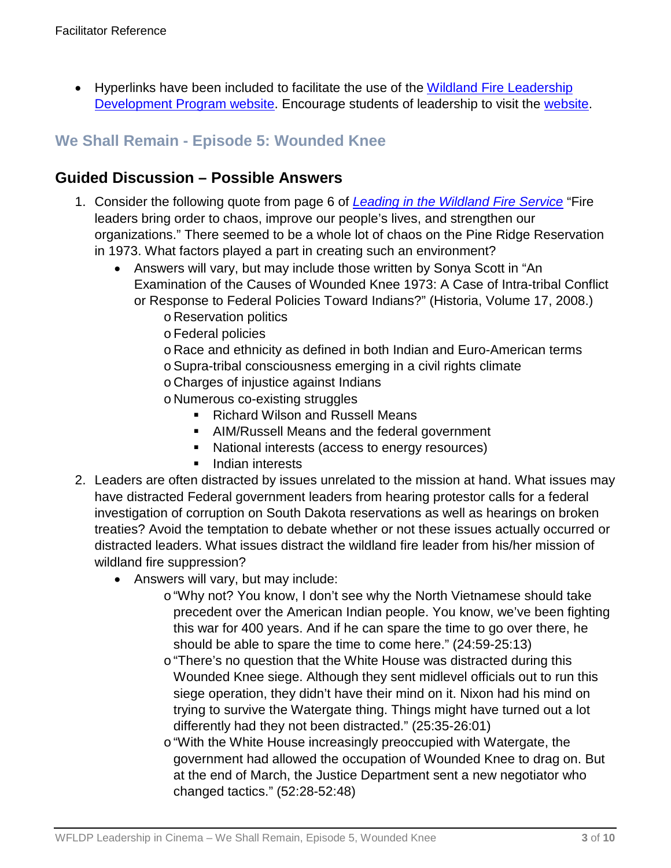• Hyperlinks have been included to facilitate the use of the Wildland Fire Leadership [Development Program website.](https://www.fireleadership.gov/) Encourage students of leadership to visit the [website.](https://www.fireleadership.gov/)

## **We Shall Remain - Episode 5: Wounded Knee**

### **Guided Discussion – Possible Answers**

- 1. Consider the following quote from page 6 of *[Leading in the Wildland Fire Service](https://www.nwcg.gov/publications/494-2)* "Fire leaders bring order to chaos, improve our people's lives, and strengthen our organizations." There seemed to be a whole lot of chaos on the Pine Ridge Reservation in 1973. What factors played a part in creating such an environment?
	- Answers will vary, but may include those written by Sonya Scott in "An Examination of the Causes of Wounded Knee 1973: A Case of Intra-tribal Conflict or Response to Federal Policies Toward Indians?" (Historia, Volume 17, 2008.)
		- o Reservation politics
		- oFederal policies
		- o Race and ethnicity as defined in both Indian and Euro-American terms
		- oSupra-tribal consciousness emerging in a civil rights climate
		- o Charges of injustice against Indians
		- o Numerous co-existing struggles
			- Richard Wilson and Russell Means
			- AIM/Russell Means and the federal government
			- National interests (access to energy resources)
			- **Indian interests**
- 2. Leaders are often distracted by issues unrelated to the mission at hand. What issues may have distracted Federal government leaders from hearing protestor calls for a federal investigation of corruption on South Dakota reservations as well as hearings on broken treaties? Avoid the temptation to debate whether or not these issues actually occurred or distracted leaders. What issues distract the wildland fire leader from his/her mission of wildland fire suppression?
	- Answers will vary, but may include:
		- o"Why not? You know, I don't see why the North Vietnamese should take precedent over the American Indian people. You know, we've been fighting this war for 400 years. And if he can spare the time to go over there, he should be able to spare the time to come here." (24:59-25:13)
		- o "There's no question that the White House was distracted during this Wounded Knee siege. Although they sent midlevel officials out to run this siege operation, they didn't have their mind on it. Nixon had his mind on trying to survive the Watergate thing. Things might have turned out a lot differently had they not been distracted." (25:35-26:01)
		- o "With the White House increasingly preoccupied with Watergate, the government had allowed the occupation of Wounded Knee to drag on. But at the end of March, the Justice Department sent a new negotiator who changed tactics." (52:28-52:48)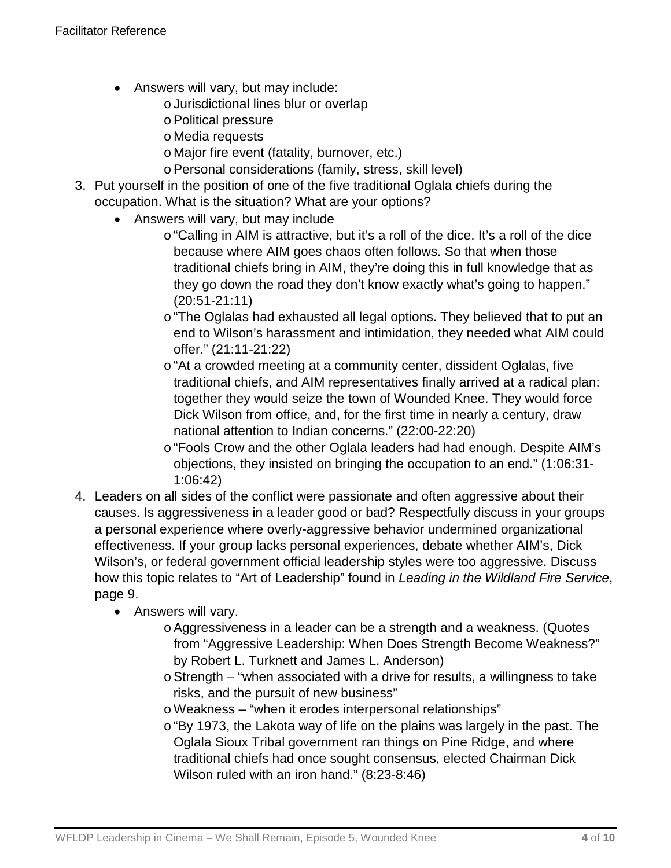- Answers will vary, but may include:
	- oJurisdictional lines blur or overlap
	- oPolitical pressure
	- o Media requests
	- o Major fire event (fatality, burnover, etc.)
	- oPersonal considerations (family, stress, skill level)
- 3. Put yourself in the position of one of the five traditional Oglala chiefs during the occupation. What is the situation? What are your options?
	- Answers will vary, but may include
		- o"Calling in AIM is attractive, but it's a roll of the dice. It's a roll of the dice because where AIM goes chaos often follows. So that when those traditional chiefs bring in AIM, they're doing this in full knowledge that as they go down the road they don't know exactly what's going to happen." (20:51-21:11)
		- o"The Oglalas had exhausted all legal options. They believed that to put an end to Wilson's harassment and intimidation, they needed what AIM could offer." (21:11-21:22)
		- o "At a crowded meeting at a community center, dissident Oglalas, five traditional chiefs, and AIM representatives finally arrived at a radical plan: together they would seize the town of Wounded Knee. They would force Dick Wilson from office, and, for the first time in nearly a century, draw national attention to Indian concerns." (22:00-22:20)
		- o "Fools Crow and the other Oglala leaders had had enough. Despite AIM's objections, they insisted on bringing the occupation to an end." (1:06:31- 1:06:42)
- 4. Leaders on all sides of the conflict were passionate and often aggressive about their causes. Is aggressiveness in a leader good or bad? Respectfully discuss in your groups a personal experience where overly-aggressive behavior undermined organizational effectiveness. If your group lacks personal experiences, debate whether AIM's, Dick Wilson's, or federal government official leadership styles were too aggressive. Discuss how this topic relates to "Art of Leadership" found in *Leading in the Wildland Fire Service*, page 9.
	- Answers will vary.
		- oAggressiveness in a leader can be a strength and a weakness. (Quotes from "Aggressive Leadership: When Does Strength Become Weakness?" by Robert L. Turknett and James L. Anderson)
		- oStrength "when associated with a drive for results, a willingness to take risks, and the pursuit of new business"
		- oWeakness "when it erodes interpersonal relationships"
		- o"By 1973, the Lakota way of life on the plains was largely in the past. The Oglala Sioux Tribal government ran things on Pine Ridge, and where traditional chiefs had once sought consensus, elected Chairman Dick Wilson ruled with an iron hand." (8:23-8:46)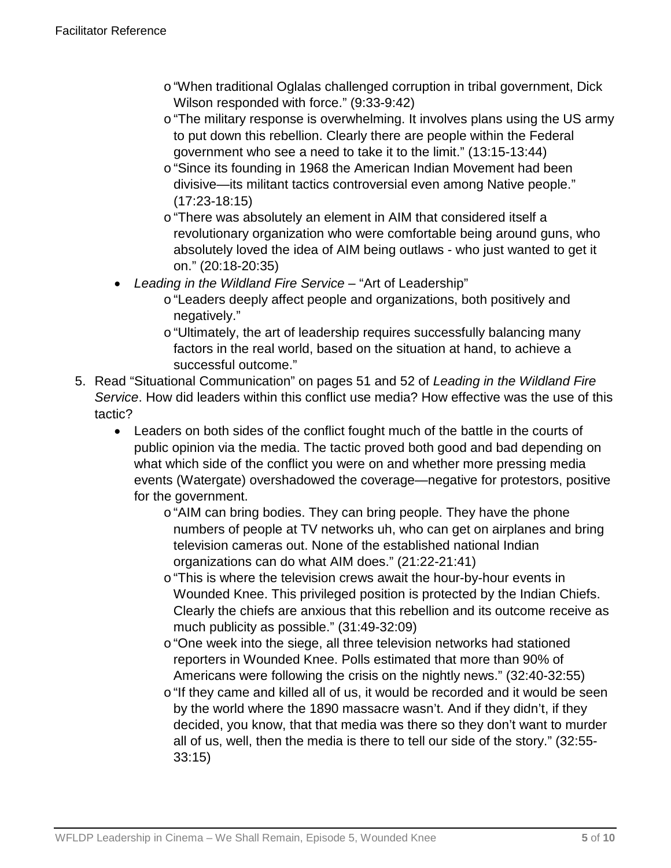- o"When traditional Oglalas challenged corruption in tribal government, Dick Wilson responded with force." (9:33-9:42)
- o"The military response is overwhelming. It involves plans using the US army to put down this rebellion. Clearly there are people within the Federal government who see a need to take it to the limit." (13:15-13:44)
- o "Since its founding in 1968 the American Indian Movement had been divisive—its militant tactics controversial even among Native people." (17:23-18:15)
- o "There was absolutely an element in AIM that considered itself a revolutionary organization who were comfortable being around guns, who absolutely loved the idea of AIM being outlaws - who just wanted to get it on." (20:18-20:35)
- *Leading in the Wildland Fire Service* "Art of Leadership"
	- o"Leaders deeply affect people and organizations, both positively and negatively."
	- o"Ultimately, the art of leadership requires successfully balancing many factors in the real world, based on the situation at hand, to achieve a successful outcome."
- 5. Read "Situational Communication" on pages 51 and 52 of *Leading in the Wildland Fire Service*. How did leaders within this conflict use media? How effective was the use of this tactic?
	- Leaders on both sides of the conflict fought much of the battle in the courts of public opinion via the media. The tactic proved both good and bad depending on what which side of the conflict you were on and whether more pressing media events (Watergate) overshadowed the coverage—negative for protestors, positive for the government.
		- o"AIM can bring bodies. They can bring people. They have the phone numbers of people at TV networks uh, who can get on airplanes and bring television cameras out. None of the established national Indian organizations can do what AIM does." (21:22-21:41)
		- o"This is where the television crews await the hour-by-hour events in Wounded Knee. This privileged position is protected by the Indian Chiefs. Clearly the chiefs are anxious that this rebellion and its outcome receive as much publicity as possible." (31:49-32:09)
		- o"One week into the siege, all three television networks had stationed reporters in Wounded Knee. Polls estimated that more than 90% of Americans were following the crisis on the nightly news." (32:40-32:55)
		- o"If they came and killed all of us, it would be recorded and it would be seen by the world where the 1890 massacre wasn't. And if they didn't, if they decided, you know, that that media was there so they don't want to murder all of us, well, then the media is there to tell our side of the story." (32:55- 33:15)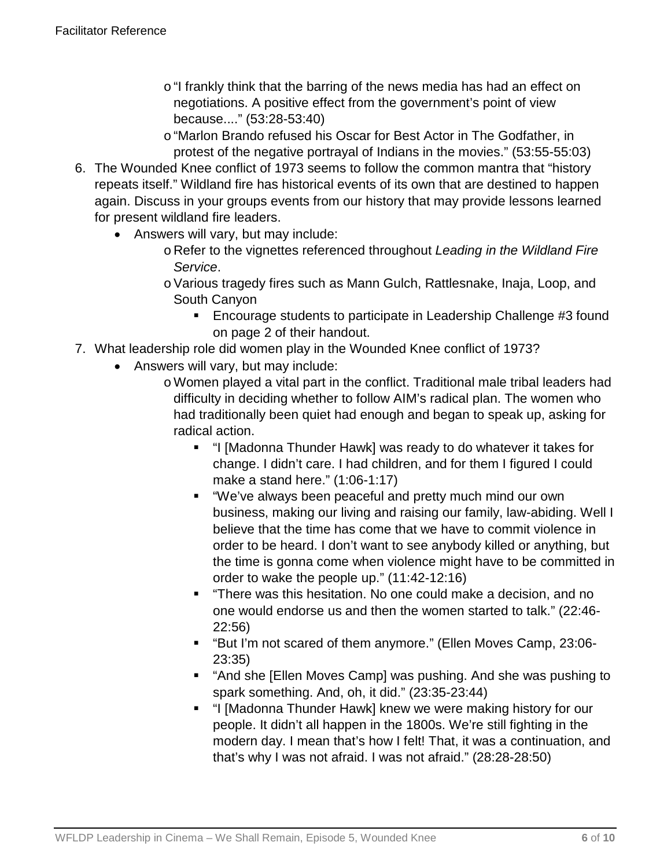- o"I frankly think that the barring of the news media has had an effect on negotiations. A positive effect from the government's point of view because...." (53:28-53:40)
- o"Marlon Brando refused his Oscar for Best Actor in The Godfather, in protest of the negative portrayal of Indians in the movies." (53:55-55:03)
- 6. The Wounded Knee conflict of 1973 seems to follow the common mantra that "history repeats itself." Wildland fire has historical events of its own that are destined to happen again. Discuss in your groups events from our history that may provide lessons learned for present wildland fire leaders.
	- Answers will vary, but may include:
		- o Refer to the vignettes referenced throughout *Leading in the Wildland Fire Service*.
		- oVarious tragedy fires such as Mann Gulch, Rattlesnake, Inaja, Loop, and South Canyon
			- **Encourage students to participate in Leadership Challenge #3 found** on page 2 of their handout.
- 7. What leadership role did women play in the Wounded Knee conflict of 1973?
	- Answers will vary, but may include:
		- oWomen played a vital part in the conflict. Traditional male tribal leaders had difficulty in deciding whether to follow AIM's radical plan. The women who had traditionally been quiet had enough and began to speak up, asking for radical action.
			- "I [Madonna Thunder Hawk] was ready to do whatever it takes for change. I didn't care. I had children, and for them I figured I could make a stand here." (1:06-1:17)
			- "We've always been peaceful and pretty much mind our own business, making our living and raising our family, law-abiding. Well I believe that the time has come that we have to commit violence in order to be heard. I don't want to see anybody killed or anything, but the time is gonna come when violence might have to be committed in order to wake the people up." (11:42-12:16)
			- "There was this hesitation. No one could make a decision, and no one would endorse us and then the women started to talk." (22:46- 22:56)
			- "But I'm not scared of them anymore." (Ellen Moves Camp, 23:06-23:35)
			- "And she [Ellen Moves Camp] was pushing. And she was pushing to spark something. And, oh, it did." (23:35-23:44)
			- "I [Madonna Thunder Hawk] knew we were making history for our people. It didn't all happen in the 1800s. We're still fighting in the modern day. I mean that's how I felt! That, it was a continuation, and that's why I was not afraid. I was not afraid." (28:28-28:50)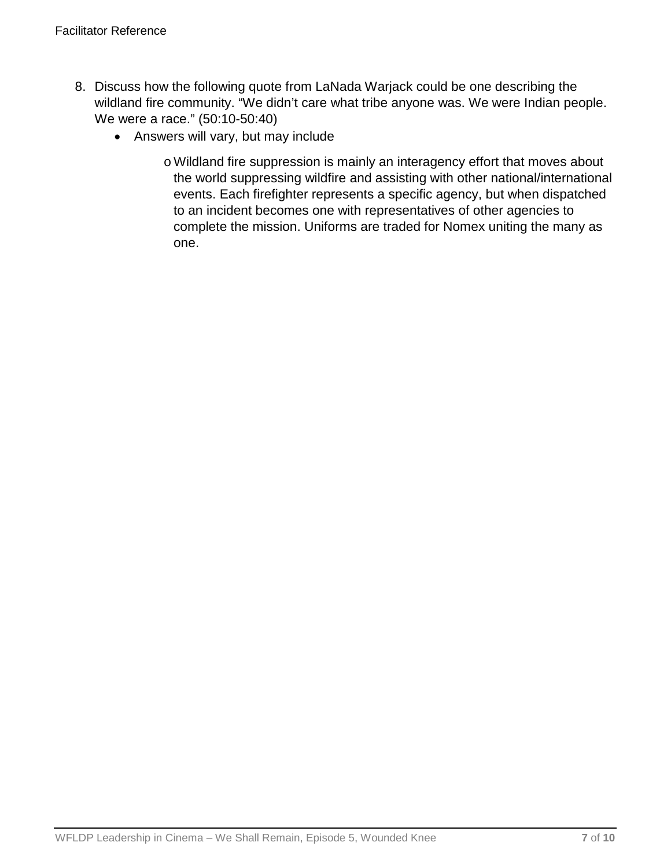- 8. Discuss how the following quote from LaNada Warjack could be one describing the wildland fire community. "We didn't care what tribe anyone was. We were Indian people. We were a race." (50:10-50:40)
	- Answers will vary, but may include
		- oWildland fire suppression is mainly an interagency effort that moves about the world suppressing wildfire and assisting with other national/international events. Each firefighter represents a specific agency, but when dispatched to an incident becomes one with representatives of other agencies to complete the mission. Uniforms are traded for Nomex uniting the many as one.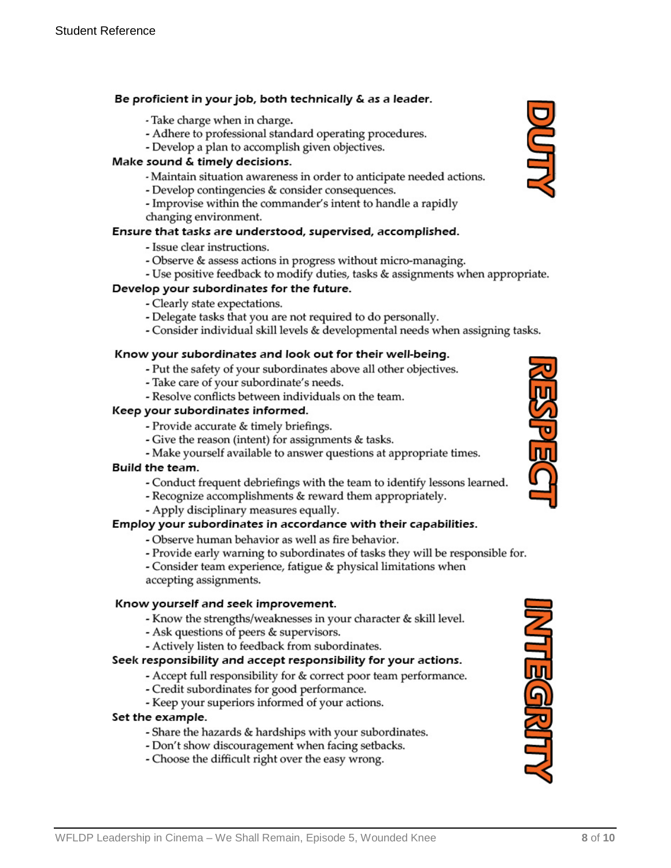#### Be proficient in your job, both technically & as a leader.

- Take charge when in charge.
- Adhere to professional standard operating procedures.
- Develop a plan to accomplish given objectives.

#### Make sound & timely decisions.

- Maintain situation awareness in order to anticipate needed actions.
- Develop contingencies & consider consequences.
- Improvise within the commander's intent to handle a rapidly changing environment.

#### Ensure that tasks are understood, supervised, accomplished.

- Issue clear instructions.
- Observe & assess actions in progress without micro-managing.
- Use positive feedback to modify duties, tasks & assignments when appropriate.

#### Develop your subordinates for the future.

- Clearly state expectations.
- Delegate tasks that you are not required to do personally.
- Consider individual skill levels & developmental needs when assigning tasks.

#### Know your subordinates and look out for their well-being.

- Put the safety of your subordinates above all other objectives.
- Take care of your subordinate's needs.
- Resolve conflicts between individuals on the team.

#### Keep your subordinates informed.

- Provide accurate & timely briefings.
- Give the reason (intent) for assignments & tasks.
- Make yourself available to answer questions at appropriate times.

#### Build the team.

- Conduct frequent debriefings with the team to identify lessons learned.
- Recognize accomplishments & reward them appropriately.
- Apply disciplinary measures equally.

#### Employ your subordinates in accordance with their capabilities.

- Observe human behavior as well as fire behavior.
- Provide early warning to subordinates of tasks they will be responsible for.
- Consider team experience, fatigue & physical limitations when accepting assignments.

#### Know yourself and seek improvement.

- Know the strengths/weaknesses in your character & skill level.
- Ask questions of peers & supervisors.
- Actively listen to feedback from subordinates.

#### Seek responsibility and accept responsibility for your actions.

- Accept full responsibility for & correct poor team performance.
- Credit subordinates for good performance.
- Keep your superiors informed of your actions.

#### Set the example.

- Share the hazards & hardships with your subordinates.
- Don't show discouragement when facing setbacks.
- Choose the difficult right over the easy wrong.





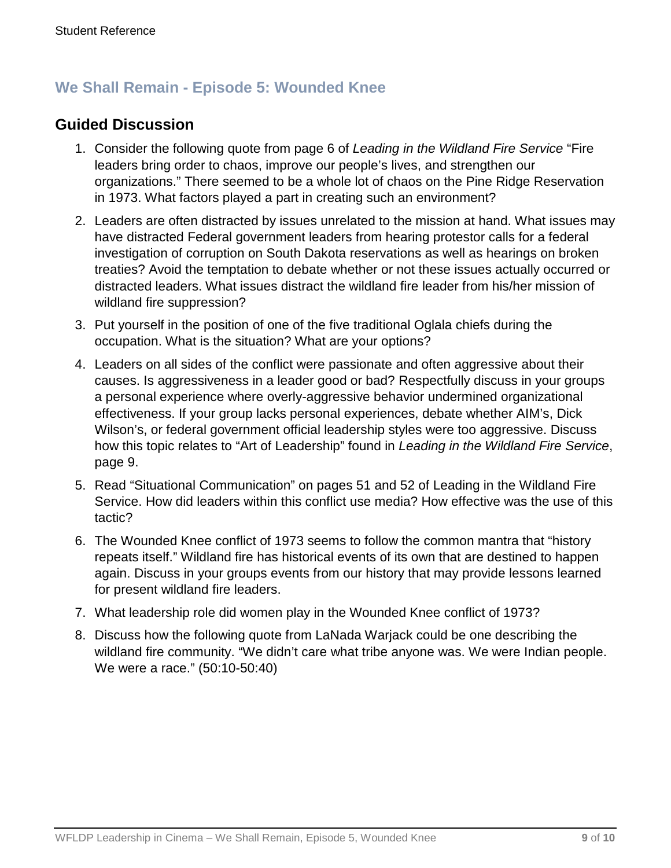## **We Shall Remain - Episode 5: Wounded Knee**

### **Guided Discussion**

- 1. Consider the following quote from page 6 of *Leading in the Wildland Fire Service* "Fire leaders bring order to chaos, improve our people's lives, and strengthen our organizations." There seemed to be a whole lot of chaos on the Pine Ridge Reservation in 1973. What factors played a part in creating such an environment?
- 2. Leaders are often distracted by issues unrelated to the mission at hand. What issues may have distracted Federal government leaders from hearing protestor calls for a federal investigation of corruption on South Dakota reservations as well as hearings on broken treaties? Avoid the temptation to debate whether or not these issues actually occurred or distracted leaders. What issues distract the wildland fire leader from his/her mission of wildland fire suppression?
- 3. Put yourself in the position of one of the five traditional Oglala chiefs during the occupation. What is the situation? What are your options?
- 4. Leaders on all sides of the conflict were passionate and often aggressive about their causes. Is aggressiveness in a leader good or bad? Respectfully discuss in your groups a personal experience where overly-aggressive behavior undermined organizational effectiveness. If your group lacks personal experiences, debate whether AIM's, Dick Wilson's, or federal government official leadership styles were too aggressive. Discuss how this topic relates to "Art of Leadership" found in *Leading in the Wildland Fire Service*, page 9.
- 5. Read "Situational Communication" on pages 51 and 52 of Leading in the Wildland Fire Service. How did leaders within this conflict use media? How effective was the use of this tactic?
- 6. The Wounded Knee conflict of 1973 seems to follow the common mantra that "history repeats itself." Wildland fire has historical events of its own that are destined to happen again. Discuss in your groups events from our history that may provide lessons learned for present wildland fire leaders.
- 7. What leadership role did women play in the Wounded Knee conflict of 1973?
- 8. Discuss how the following quote from LaNada Warjack could be one describing the wildland fire community. "We didn't care what tribe anyone was. We were Indian people. We were a race." (50:10-50:40)